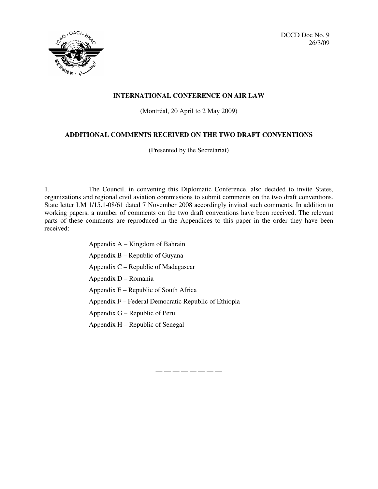



### **INTERNATIONAL CONFERENCE ON AIR LAW**

(Montréal, 20 April to 2 May 2009)

## **ADDITIONAL COMMENTS RECEIVED ON THE TWO DRAFT CONVENTIONS**

(Presented by the Secretariat)

1. The Council, in convening this Diplomatic Conference, also decided to invite States, organizations and regional civil aviation commissions to submit comments on the two draft conventions. State letter LM 1/15.1-08/61 dated 7 November 2008 accordingly invited such comments. In addition to working papers, a number of comments on the two draft conventions have been received. The relevant parts of these comments are reproduced in the Appendices to this paper in the order they have been received:

- Appendix A Kingdom of Bahrain
- Appendix B Republic of Guyana
- Appendix C Republic of Madagascar
- Appendix D Romania
- Appendix E Republic of South Africa
- Appendix F Federal Democratic Republic of Ethiopia
- Appendix G Republic of Peru
- Appendix H Republic of Senegal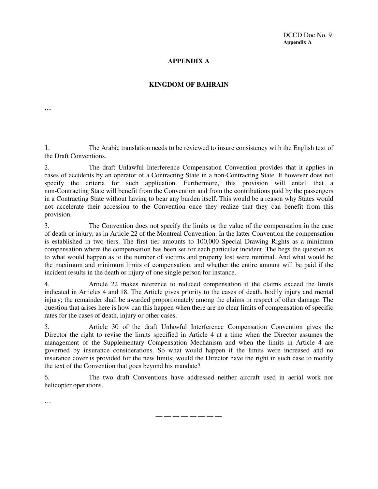DCCD Doc No. 9 **Appendix A**

## **APPENDIX A**

## **KINGDOM OF BAHRAIN**

**…**

1. The Arabic translation needs to be reviewed to insure consistency with the English text of the Draft Conventions.

2. The draft Unlawful Interference Compensation Convention provides that it applies in cases of accidents by an operator of a Contracting State in a non-Contracting State. It however does not specify the criteria for such application. Furthermore, this provision will entail that a non-Contracting State will benefit from the Convention and from the contributions paid by the passengers in a Contracting State without having to bear any burden itself. This would be a reason why States would not accelerate their accession to the Convention once they realize that they can benefit from this provision.

3. The Convention does not specify the limits or the value of the compensation in the case of death or injury, as in Article 22 of the Montreal Convention. In the latter Convention the compensation is established in two tiers. The first tier amounts to 100,000 Special Drawing Rights as a minimum compensation where the compensation has been set for each particular incident. The begs the question as to what would happen as to the number of victims and property lost were minimal. And what would be the maximum and minimum limits of compensation, and whether the entire amount will be paid if the incident results in the death or injury of one single person for instance.

4. Article 22 makes reference to reduced compensation if the claims exceed the limits indicated in Articles 4 and 18. The Article gives priority to the cases of death, bodily injury and mental injury; the remainder shall be awarded proportionately among the claims in respect of other damage. The question that arises here is how can this happen when there are no clear limits of compensation of specific rates for the cases of death, injury or other cases.

5. Article 30 of the draft Unlawful Interference Compensation Convention gives the Director the right to revise the limits specified in Article 4 at a time when the Director assumes the management of the Supplementary Compensation Mechanism and when the limits in Article 4 are governed by insurance considerations. So what would happen if the limits were increased and no insurance cover is provided for the new limits; would the Director have the right in such case to modify the text of the Convention that goes beyond his mandate?

6. The two draft Conventions have addressed neither aircraft used in aerial work nor helicopter operations.

…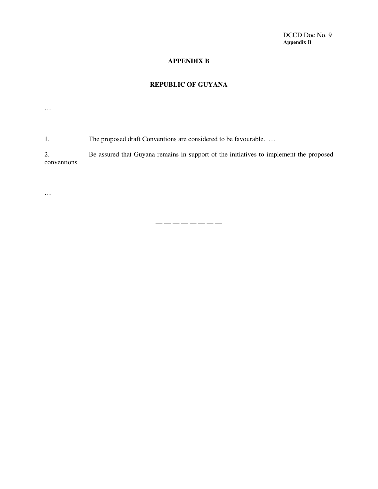## **APPENDIX B**

# **REPUBLIC OF GUYANA**

…

1. The proposed draft Conventions are considered to be favourable. …

2. Be assured that Guyana remains in support of the initiatives to implement the proposed conventions

 $\dots$ 

 $\longrightarrow$  —  $\longrightarrow$  — — —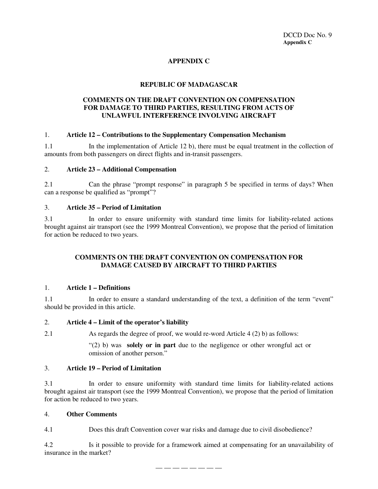## **APPENDIX C**

## **REPUBLIC OF MADAGASCAR**

### **COMMENTS ON THE DRAFT CONVENTION ON COMPENSATION FOR DAMAGE TO THIRD PARTIES, RESULTING FROM ACTS OF UNLAWFUL INTERFERENCE INVOLVING AIRCRAFT**

#### 1. **Article 12 – Contributions to the Supplementary Compensation Mechanism**

1.1 In the implementation of Article 12 b), there must be equal treatment in the collection of amounts from both passengers on direct flights and in-transit passengers.

### 2. **Article 23 – Additional Compensation**

2.1 Can the phrase "prompt response" in paragraph 5 be specified in terms of days? When can a response be qualified as "prompt"?

#### 3. **Article 35 – Period of Limitation**

3.1 In order to ensure uniformity with standard time limits for liability-related actions brought against air transport (see the 1999 Montreal Convention), we propose that the period of limitation for action be reduced to two years.

### **COMMENTS ON THE DRAFT CONVENTION ON COMPENSATION FOR DAMAGE CAUSED BY AIRCRAFT TO THIRD PARTIES**

#### 1. **Article 1 – Definitions**

1.1 In order to ensure a standard understanding of the text, a definition of the term "event" should be provided in this article.

#### 2. **Article 4 – Limit of the operator's liability**

2.1 As regards the degree of proof, we would re-word Article 4 (2) b) as follows:

"(2) b) was **solely or in part** due to the negligence or other wrongful act or omission of another person."

#### 3. **Article 19 – Period of Limitation**

3.1 In order to ensure uniformity with standard time limits for liability-related actions brought against air transport (see the 1999 Montreal Convention), we propose that the period of limitation for action be reduced to two years.

#### 4. **Other Comments**

4.1 Does this draft Convention cover war risks and damage due to civil disobedience?

4.2 Is it possible to provide for a framework aimed at compensating for an unavailability of insurance in the market?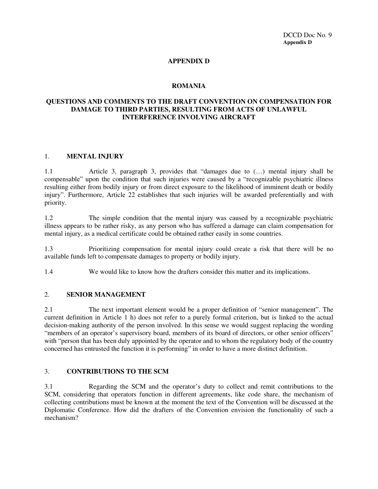## **APPENDIX D**

### **ROMANIA**

## **QUESTIONS AND COMMENTS TO THE DRAFT CONVENTION ON COMPENSATION FOR DAMAGE TO THIRD PARTIES, RESULTING FROM ACTS OF UNLAWFUL INTERFERENCE INVOLVING AIRCRAFT**

#### 1. **MENTAL INJURY**

1.1 Article 3, paragraph 3, provides that "damages due to (…) mental injury shall be compensable" upon the condition that such injuries were caused by a "recognizable psychiatric illness resulting either from bodily injury or from direct exposure to the likelihood of imminent death or bodily injury". Furthermore, Article 22 establishes that such injuries will be awarded preferentially and with priority.

1.2 The simple condition that the mental injury was caused by a recognizable psychiatric illness appears to be rather risky, as any person who has suffered a damage can claim compensation for mental injury, as a medical certificate could be obtained rather easily in some countries.

1.3 Prioritizing compensation for mental injury could create a risk that there will be no available funds left to compensate damages to property or bodily injury.

1.4 We would like to know how the drafters consider this matter and its implications.

#### 2. **SENIOR MANAGEMENT**

2.1 The next important element would be a proper definition of "senior management". The current definition in Article 1 h) does not refer to a purely formal criterion, but is linked to the actual decision-making authority of the person involved. In this sense we would suggest replacing the wording "members of an operator's supervisory board, members of its board of directors, or other senior officers" with "person that has been duly appointed by the operator and to whom the regulatory body of the country concerned has entrusted the function it is performing" in order to have a more distinct definition.

### 3. **CONTRIBUTIONS TO THE SCM**

3.1 Regarding the SCM and the operator's duty to collect and remit contributions to the SCM, considering that operators function in different agreements, like code share, the mechanism of collecting contributions must be known at the moment the text of the Convention will be discussed at the Diplomatic Conference. How did the drafters of the Convention envision the functionality of such a mechanism?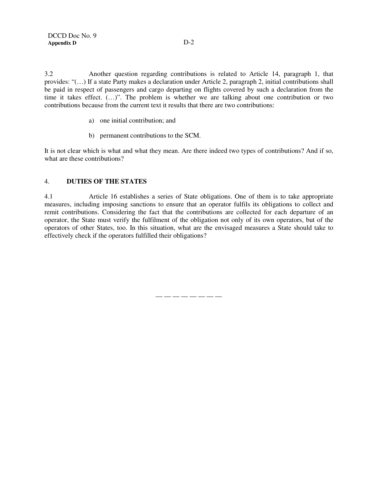3.2 Another question regarding contributions is related to Article 14, paragraph 1, that provides: "(…) If a state Party makes a declaration under Article 2, paragraph 2, initial contributions shall be paid in respect of passengers and cargo departing on flights covered by such a declaration from the time it takes effect. (…)". The problem is whether we are talking about one contribution or two contributions because from the current text it results that there are two contributions:

- a) one initial contribution; and
- b) permanent contributions to the SCM.

It is not clear which is what and what they mean. Are there indeed two types of contributions? And if so, what are these contributions?

#### 4. **DUTIES OF THE STATES**

4.1 Article 16 establishes a series of State obligations. One of them is to take appropriate measures, including imposing sanctions to ensure that an operator fulfils its obligations to collect and remit contributions. Considering the fact that the contributions are collected for each departure of an operator, the State must verify the fulfilment of the obligation not only of its own operators, but of the operators of other States, too. In this situation, what are the envisaged measures a State should take to effectively check if the operators fulfilled their obligations?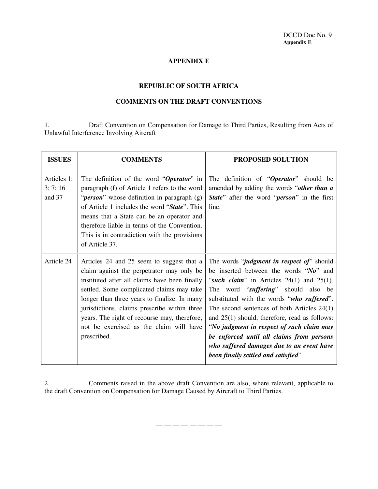## **APPENDIX E**

## **REPUBLIC OF SOUTH AFRICA**

### **COMMENTS ON THE DRAFT CONVENTIONS**

1. Draft Convention on Compensation for Damage to Third Parties, Resulting from Acts of Unlawful Interference Involving Aircraft

| <b>ISSUES</b>                     | <b>COMMENTS</b>                                                                                                                                                                                                                                                                                                                                                                                | <b>PROPOSED SOLUTION</b>                                                                                                                                                                                                                                                                                                                                                                                                                                                                                               |
|-----------------------------------|------------------------------------------------------------------------------------------------------------------------------------------------------------------------------------------------------------------------------------------------------------------------------------------------------------------------------------------------------------------------------------------------|------------------------------------------------------------------------------------------------------------------------------------------------------------------------------------------------------------------------------------------------------------------------------------------------------------------------------------------------------------------------------------------------------------------------------------------------------------------------------------------------------------------------|
| Articles 1;<br>3; 7; 16<br>and 37 | The definition of the word "Operator" in<br>paragraph (f) of Article 1 refers to the word<br>" <i>person</i> " whose definition in paragraph (g)<br>of Article 1 includes the word "State". This<br>means that a State can be an operator and<br>therefore liable in terms of the Convention.<br>This is in contradiction with the provisions<br>of Article 37.                                | The definition of "Operator" should be<br>amended by adding the words "other than a<br><b>State</b> " after the word " <b><i>person</i></b> " in the first<br>line.                                                                                                                                                                                                                                                                                                                                                    |
| Article 24                        | Articles 24 and 25 seem to suggest that a<br>claim against the perpetrator may only be<br>instituted after all claims have been finally<br>settled. Some complicated claims may take<br>longer than three years to finalize. In many<br>jurisdictions, claims prescribe within three<br>years. The right of recourse may, therefore,<br>not be exercised as the claim will have<br>prescribed. | The words " <i>judgment in respect of</i> " should<br>be inserted between the words "No" and<br>"such claim" in Articles $24(1)$ and $25(1)$ .<br>The word "suffering" should also be<br>substituted with the words "who suffered".<br>The second sentences of both Articles $24(1)$<br>and $25(1)$ should, therefore, read as follows:<br>"No judgment in respect of such claim may<br>be enforced until all claims from persons<br>who suffered damages due to an event have<br>been finally settled and satisfied". |

2. Comments raised in the above draft Convention are also, where relevant, applicable to the draft Convention on Compensation for Damage Caused by Aircraft to Third Parties.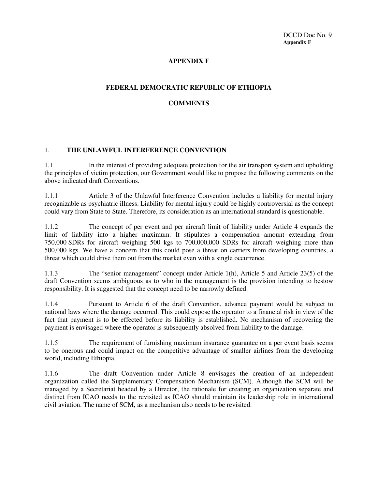## **APPENDIX F**

### **FEDERAL DEMOCRATIC REPUBLIC OF ETHIOPIA**

## **COMMENTS**

### 1. **THE UNLAWFUL INTERFERENCE CONVENTION**

1.1 In the interest of providing adequate protection for the air transport system and upholding the principles of victim protection, our Government would like to propose the following comments on the above indicated draft Conventions.

1.1.1 Article 3 of the Unlawful Interference Convention includes a liability for mental injury recognizable as psychiatric illness. Liability for mental injury could be highly controversial as the concept could vary from State to State. Therefore, its consideration as an international standard is questionable.

1.1.2 The concept of per event and per aircraft limit of liability under Article 4 expands the limit of liability into a higher maximum. It stipulates a compensation amount extending from 750,000 SDRs for aircraft weighing 500 kgs to 700,000,000 SDRs for aircraft weighing more than 500,000 kgs. We have a concern that this could pose a threat on carriers from developing countries, a threat which could drive them out from the market even with a single occurrence.

1.1.3 The "senior management" concept under Article 1(h), Article 5 and Article 23(5) of the draft Convention seems ambiguous as to who in the management is the provision intending to bestow responsibility. It is suggested that the concept need to be narrowly defined.

1.1.4 Pursuant to Article 6 of the draft Convention, advance payment would be subject to national laws where the damage occurred. This could expose the operator to a financial risk in view of the fact that payment is to be effected before its liability is established. No mechanism of recovering the payment is envisaged where the operator is subsequently absolved from liability to the damage.

1.1.5 The requirement of furnishing maximum insurance guarantee on a per event basis seems to be onerous and could impact on the competitive advantage of smaller airlines from the developing world, including Ethiopia.

1.1.6 The draft Convention under Article 8 envisages the creation of an independent organization called the Supplementary Compensation Mechanism (SCM). Although the SCM will be managed by a Secretariat headed by a Director, the rationale for creating an organization separate and distinct from ICAO needs to the revisited as ICAO should maintain its leadership role in international civil aviation. The name of SCM, as a mechanism also needs to be revisited.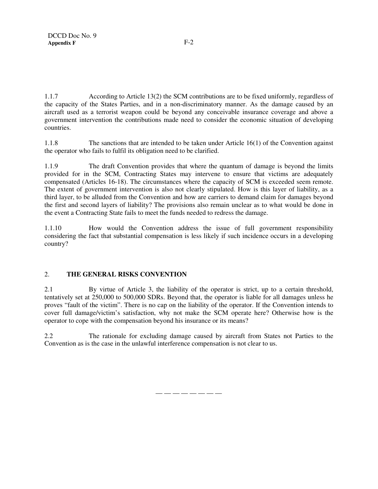1.1.7 According to Article 13(2) the SCM contributions are to be fixed uniformly, regardless of the capacity of the States Parties, and in a non-discriminatory manner. As the damage caused by an aircraft used as a terrorist weapon could be beyond any conceivable insurance coverage and above a government intervention the contributions made need to consider the economic situation of developing countries.

1.1.8 The sanctions that are intended to be taken under Article 16(1) of the Convention against the operator who fails to fulfil its obligation need to be clarified.

1.1.9 The draft Convention provides that where the quantum of damage is beyond the limits provided for in the SCM, Contracting States may intervene to ensure that victims are adequately compensated (Articles 16-18). The circumstances where the capacity of SCM is exceeded seem remote. The extent of government intervention is also not clearly stipulated. How is this layer of liability, as a third layer, to be alluded from the Convention and how are carriers to demand claim for damages beyond the first and second layers of liability? The provisions also remain unclear as to what would be done in the event a Contracting State fails to meet the funds needed to redress the damage.

1.1.10 How would the Convention address the issue of full government responsibility considering the fact that substantial compensation is less likely if such incidence occurs in a developing country?

## 2. **THE GENERAL RISKS CONVENTION**

2.1 By virtue of Article 3, the liability of the operator is strict, up to a certain threshold, tentatively set at 250,000 to 500,000 SDRs. Beyond that, the operator is liable for all damages unless he proves "fault of the victim". There is no cap on the liability of the operator. If the Convention intends to cover full damage/victim's satisfaction, why not make the SCM operate here? Otherwise how is the operator to cope with the compensation beyond his insurance or its means?

2.2 The rationale for excluding damage caused by aircraft from States not Parties to the Convention as is the case in the unlawful interference compensation is not clear to us.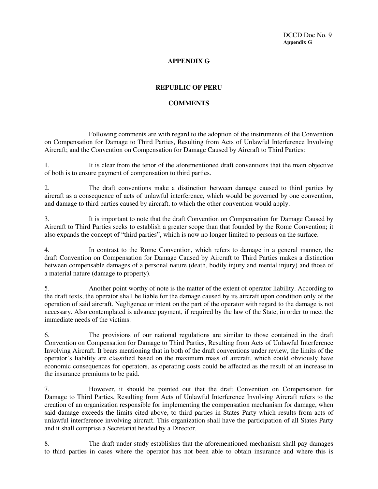## **APPENDIX G**

## **REPUBLIC OF PERU**

## **COMMENTS**

Following comments are with regard to the adoption of the instruments of the Convention on Compensation for Damage to Third Parties, Resulting from Acts of Unlawful Interference Involving Aircraft; and the Convention on Compensation for Damage Caused by Aircraft to Third Parties:

1. It is clear from the tenor of the aforementioned draft conventions that the main objective of both is to ensure payment of compensation to third parties.

2. The draft conventions make a distinction between damage caused to third parties by aircraft as a consequence of acts of unlawful interference, which would be governed by one convention, and damage to third parties caused by aircraft, to which the other convention would apply.

3. It is important to note that the draft Convention on Compensation for Damage Caused by Aircraft to Third Parties seeks to establish a greater scope than that founded by the Rome Convention; it also expands the concept of "third parties", which is now no longer limited to persons on the surface.

4. In contrast to the Rome Convention, which refers to damage in a general manner, the draft Convention on Compensation for Damage Caused by Aircraft to Third Parties makes a distinction between compensable damages of a personal nature (death, bodily injury and mental injury) and those of a material nature (damage to property).

5. Another point worthy of note is the matter of the extent of operator liability. According to the draft texts, the operator shall be liable for the damage caused by its aircraft upon condition only of the operation of said aircraft. Negligence or intent on the part of the operator with regard to the damage is not necessary. Also contemplated is advance payment, if required by the law of the State, in order to meet the immediate needs of the victims.

6. The provisions of our national regulations are similar to those contained in the draft Convention on Compensation for Damage to Third Parties, Resulting from Acts of Unlawful Interference Involving Aircraft. It bears mentioning that in both of the draft conventions under review, the limits of the operator's liability are classified based on the maximum mass of aircraft, which could obviously have economic consequences for operators, as operating costs could be affected as the result of an increase in the insurance premiums to be paid.

7. However, it should be pointed out that the draft Convention on Compensation for Damage to Third Parties, Resulting from Acts of Unlawful Interference Involving Aircraft refers to the creation of an organization responsible for implementing the compensation mechanism for damage, when said damage exceeds the limits cited above, to third parties in States Party which results from acts of unlawful interference involving aircraft. This organization shall have the participation of all States Party and it shall comprise a Secretariat headed by a Director.

8. The draft under study establishes that the aforementioned mechanism shall pay damages to third parties in cases where the operator has not been able to obtain insurance and where this is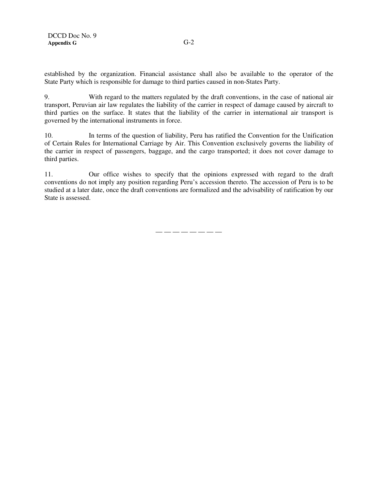established by the organization. Financial assistance shall also be available to the operator of the State Party which is responsible for damage to third parties caused in non-States Party.

9. With regard to the matters regulated by the draft conventions, in the case of national air transport, Peruvian air law regulates the liability of the carrier in respect of damage caused by aircraft to third parties on the surface. It states that the liability of the carrier in international air transport is governed by the international instruments in force.

10. In terms of the question of liability, Peru has ratified the Convention for the Unification of Certain Rules for International Carriage by Air. This Convention exclusively governs the liability of the carrier in respect of passengers, baggage, and the cargo transported; it does not cover damage to third parties.

11. Our office wishes to specify that the opinions expressed with regard to the draft conventions do not imply any position regarding Peru's accession thereto. The accession of Peru is to be studied at a later date, once the draft conventions are formalized and the advisability of ratification by our State is assessed.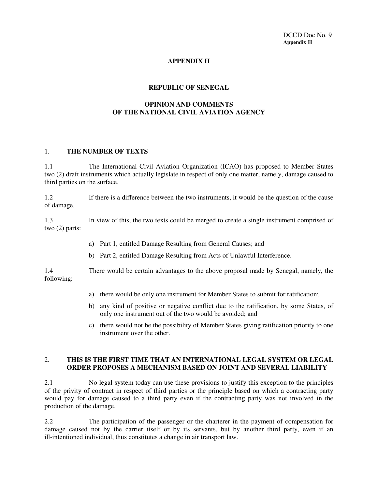DCCD Doc No. 9 **Appendix H**

## **APPENDIX H**

#### **REPUBLIC OF SENEGAL**

## **OPINION AND COMMENTS OF THE NATIONAL CIVIL AVIATION AGENCY**

#### 1. **THE NUMBER OF TEXTS**

1.1 The International Civil Aviation Organization (ICAO) has proposed to Member States two (2) draft instruments which actually legislate in respect of only one matter, namely, damage caused to third parties on the surface.

1.2 If there is a difference between the two instruments, it would be the question of the cause of damage.

1.3 In view of this, the two texts could be merged to create a single instrument comprised of two (2) parts:

- a) Part 1, entitled Damage Resulting from General Causes; and
- b) Part 2, entitled Damage Resulting from Acts of Unlawful Interference.

1.4 There would be certain advantages to the above proposal made by Senegal, namely, the following:

- a) there would be only one instrument for Member States to submit for ratification;
- b) any kind of positive or negative conflict due to the ratification, by some States, of only one instrument out of the two would be avoided; and
- c) there would not be the possibility of Member States giving ratification priority to one instrument over the other.

### 2. **THIS IS THE FIRST TIME THAT AN INTERNATIONAL LEGAL SYSTEM OR LEGAL ORDER PROPOSES A MECHANISM BASED ON JOINT AND SEVERAL LIABILITY**

2.1 No legal system today can use these provisions to justify this exception to the principles of the privity of contract in respect of third parties or the principle based on which a contracting party would pay for damage caused to a third party even if the contracting party was not involved in the production of the damage.

2.2 The participation of the passenger or the charterer in the payment of compensation for damage caused not by the carrier itself or by its servants, but by another third party, even if an ill-intentioned individual, thus constitutes a change in air transport law.